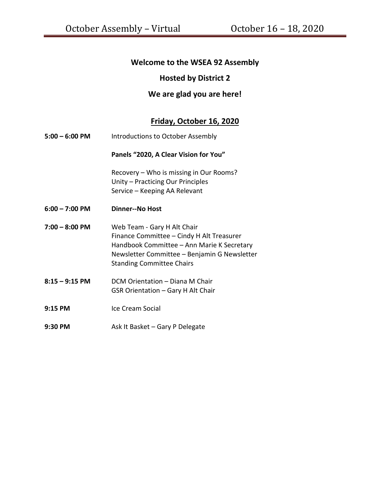# **Welcome to the WSEA 92 Assembly**

## **Hosted by District 2**

## **We are glad you are here!**

# **Friday, October 16, 2020**

| $5:00 - 6:00$ PM | Introductions to October Assembly                                                                                                                                                                          |
|------------------|------------------------------------------------------------------------------------------------------------------------------------------------------------------------------------------------------------|
|                  | Panels "2020, A Clear Vision for You"                                                                                                                                                                      |
|                  | Recovery - Who is missing in Our Rooms?<br>Unity - Practicing Our Principles<br>Service – Keeping AA Relevant                                                                                              |
| $6:00 - 7:00$ PM | Dinner--No Host                                                                                                                                                                                            |
| $7:00 - 8:00$ PM | Web Team - Gary H Alt Chair<br>Finance Committee - Cindy H Alt Treasurer<br>Handbook Committee - Ann Marie K Secretary<br>Newsletter Committee - Benjamin G Newsletter<br><b>Standing Committee Chairs</b> |
| $8:15 - 9:15$ PM | DCM Orientation - Diana M Chair<br>GSR Orientation - Gary H Alt Chair                                                                                                                                      |
| 9:15 PM          | Ice Cream Social                                                                                                                                                                                           |
| 9:30 PM          | Ask It Basket – Gary P Delegate                                                                                                                                                                            |